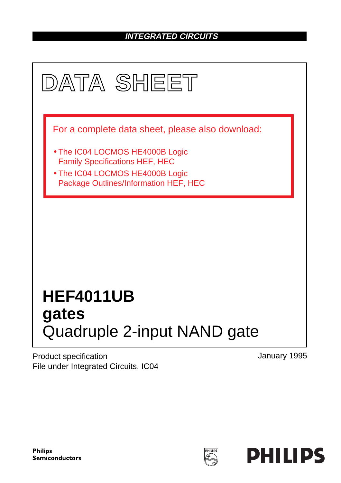### **INTEGRATED CIRCUITS**



Product specification File under Integrated Circuits, IC04 January 1995

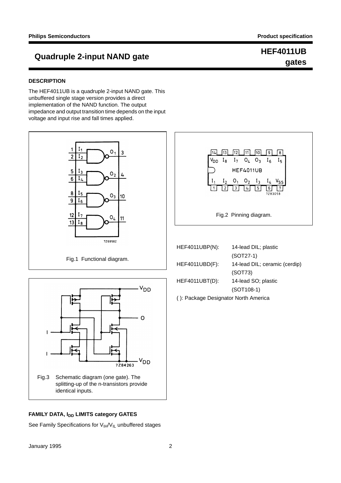## **gates**

## **Quadruple 2-input NAND gate HEF4011UB**

#### **DESCRIPTION**

The HEF4011UB is a quadruple 2-input NAND gate. This unbuffered single stage version provides a direct implementation of the NAND function. The output impedance and output transition time depends on the input voltage and input rise and fall times applied.





#### **FAMILY DATA, IDD LIMITS category GATES**

See Family Specifications for  $V_{\|H}/V_{\|L}$  unbuffered stages



| HEF4011UBP(N):                       | 14-lead DIL; plastic          |  |  |  |
|--------------------------------------|-------------------------------|--|--|--|
|                                      | $(SOT27-1)$                   |  |  |  |
| $HEF4011UBD(F)$ :                    | 14-lead DIL; ceramic (cerdip) |  |  |  |
|                                      | (SOT73)                       |  |  |  |
| HEF4011UBT(D):                       | 14-lead SO; plastic           |  |  |  |
|                                      | $(SOT108-1)$                  |  |  |  |
| (): Package Designator North America |                               |  |  |  |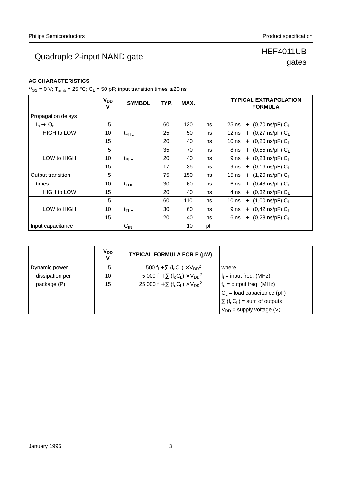## Quadruple 2-input NAND gate **HEF4011UB**

# gates

#### **AC CHARACTERISTICS**

 $V_{SS} = 0$  V; T<sub>amb</sub> = 25 °C; C<sub>L</sub> = 50 pF; input transition times  $\leq$  20 ns

|                       | V <sub>DD</sub><br>v | <b>SYMBOL</b>      | TYP. | MAX. |    | <b>TYPICAL EXTRAPOLATION</b><br><b>FORMULA</b> |
|-----------------------|----------------------|--------------------|------|------|----|------------------------------------------------|
| Propagation delays    |                      |                    |      |      |    |                                                |
| $I_n \rightarrow O_n$ | 5                    |                    | 60   | 120  | ns | 25 ns $+$ (0,70 ns/pF) C <sub>1</sub>          |
| <b>HIGH to LOW</b>    | 10                   | t <sub>PHL</sub>   | 25   | 50   | ns | 12 ns + $(0,27 \text{ ns/pF}) C_L$             |
|                       | 15                   |                    | 20   | 40   | ns | 10 ns + $(0,20 \text{ ns/pF}) C_1$             |
|                       | 5                    |                    | 35   | 70   | ns | 8 ns + $(0,55 \text{ ns/pF}) C_1$              |
| LOW to HIGH           | 10                   | t <sub>PLH</sub>   | 20   | 40   | ns | 9 ns + $(0,23 \text{ ns/pF}) C_L$              |
|                       | 15                   |                    | 17   | 35   | ns | 9 ns + $(0.16 \text{ ns/pF}) C_1$              |
| Output transition     | 5                    |                    | 75   | 150  | ns | 15 ns + $(1,20 \text{ ns/pF}) C_L$             |
| times                 | 10                   | $t$ <sub>THL</sub> | 30   | 60   | ns | 6 ns + $(0,48 \text{ ns/pF}) C_L$              |
| <b>HIGH to LOW</b>    | 15                   |                    | 20   | 40   | ns | 4 ns + $(0,32 \text{ ns/pF}) C_1$              |
|                       | 5                    |                    | 60   | 110  | ns | 10 ns + $(1,00 \text{ ns/pF}) C_L$             |
| LOW to HIGH           | 10                   | $t$ TLH            | 30   | 60   | ns | 9 ns + $(0,42 \text{ ns/pF}) C_L$              |
|                       | 15                   |                    | 20   | 40   | ns | 6 ns + $(0,28 \text{ ns/pF}) C_1$              |
| Input capacitance     |                      | $C_{IN}$           |      | 10   | pF |                                                |

|                 | V <sub>DD</sub><br>v | TYPICAL FORMULA FOR P (µW)                                                                    |                                                          |
|-----------------|----------------------|-----------------------------------------------------------------------------------------------|----------------------------------------------------------|
| Dynamic power   | 5                    | 500 f <sub>i</sub> + $\Sigma$ (f <sub>o</sub> C <sub>L</sub> ) × V <sub>DD</sub> <sup>2</sup> | where                                                    |
| dissipation per | 10                   | 5 000 $f_i + \sum (f_o C_L) \times V_{DD}^2$                                                  | $f_i$ = input freq. (MHz)                                |
| package (P)     | 15                   | 25 000 $f_i + \sum (f_o C_L) \times V_{DD}^2$                                                 | $f_0$ = output freq. (MHz)                               |
|                 |                      |                                                                                               | $C_1$ = load capacitance (pF)                            |
|                 |                      |                                                                                               | $\sum$ (f <sub>o</sub> C <sub>L</sub> ) = sum of outputs |
|                 |                      |                                                                                               | $V_{DD}$ = supply voltage (V)                            |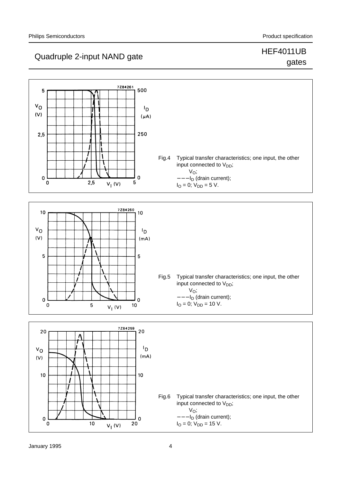gates

## Quadruple 2-input NAND gate **HEF4011UB**

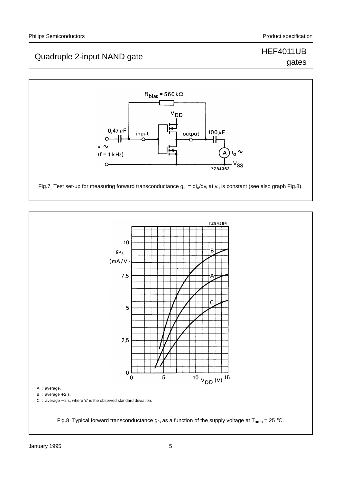## Quadruple 2-input NAND gate **HEF4011UB**

# gates





Fig.8 Typical forward transconductance  $g_{fs}$  as a function of the supply voltage at T<sub>amb</sub> = 25 °C.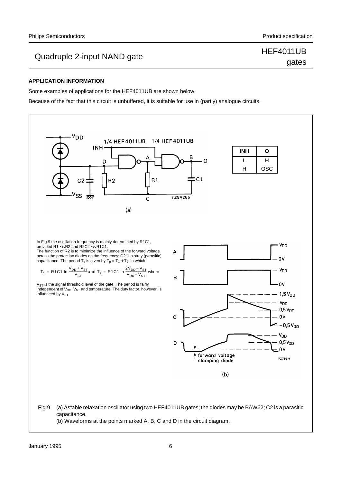gates

### Quadruple 2-input NAND gate **HEF4011UB**

#### **APPLICATION INFORMATION**

Some examples of applications for the HEF4011UB are shown below.

Because of the fact that this circuit is unbuffered, it is suitable for use in (partly) analogue circuits.

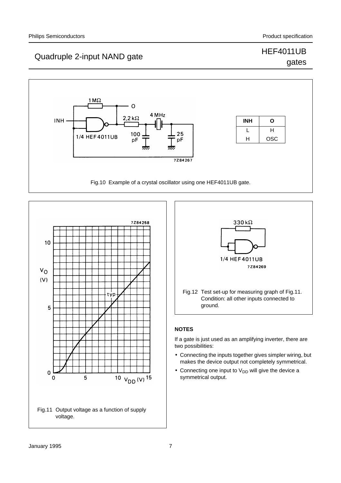### Quadruple 2-input NAND gate **HEF4011UB**

# gates







#### **NOTES**

If a gate is just used as an amplifying inverter, there are two possibilities:

- Connecting the inputs together gives simpler wiring, but makes the device output not completely symmetrical.
- Connecting one input to  $V_{DD}$  will give the device a symmetrical output.